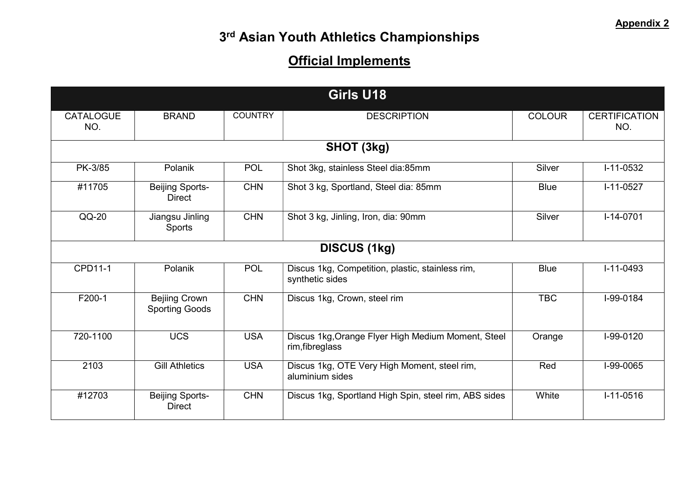| Girls U18               |                                               |                |                                                                       |               |                             |  |
|-------------------------|-----------------------------------------------|----------------|-----------------------------------------------------------------------|---------------|-----------------------------|--|
| <b>CATALOGUE</b><br>NO. | <b>BRAND</b>                                  | <b>COUNTRY</b> | <b>DESCRIPTION</b>                                                    | <b>COLOUR</b> | <b>CERTIFICATION</b><br>NO. |  |
| SHOT (3kg)              |                                               |                |                                                                       |               |                             |  |
| PK-3/85                 | Polanik                                       | <b>POL</b>     | Shot 3kg, stainless Steel dia:85mm                                    | Silver        | $I-11-0532$                 |  |
| #11705                  | <b>Beijing Sports-</b><br><b>Direct</b>       | <b>CHN</b>     | Shot 3 kg, Sportland, Steel dia: 85mm                                 | <b>Blue</b>   | $I-11-0527$                 |  |
| $QQ-20$                 | Jiangsu Jinling<br>Sports                     | <b>CHN</b>     | Shot 3 kg, Jinling, Iron, dia: 90mm                                   | Silver        | $I-14-0701$                 |  |
| <b>DISCUS (1kg)</b>     |                                               |                |                                                                       |               |                             |  |
| CPD11-1                 | Polanik                                       | <b>POL</b>     | Discus 1kg, Competition, plastic, stainless rim,<br>synthetic sides   | <b>Blue</b>   | $I-11-0493$                 |  |
| F200-1                  | <b>Bejiing Crown</b><br><b>Sporting Goods</b> | <b>CHN</b>     | Discus 1kg, Crown, steel rim                                          | <b>TBC</b>    | I-99-0184                   |  |
| 720-1100                | <b>UCS</b>                                    | <b>USA</b>     | Discus 1kg, Orange Flyer High Medium Moment, Steel<br>rim, fibreglass | Orange        | I-99-0120                   |  |
| 2103                    | <b>Gill Athletics</b>                         | <b>USA</b>     | Discus 1kg, OTE Very High Moment, steel rim,<br>aluminium sides       | Red           | I-99-0065                   |  |
| #12703                  | <b>Beijing Sports-</b><br><b>Direct</b>       | <b>CHN</b>     | Discus 1kg, Sportland High Spin, steel rim, ABS sides                 | White         | $I-11-0516$                 |  |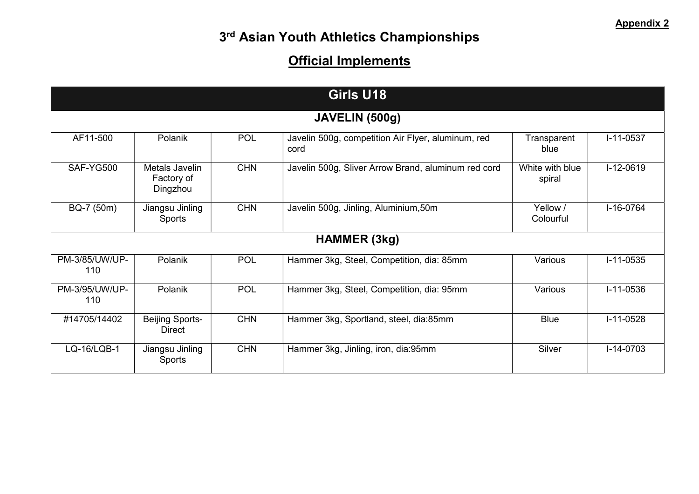| Girls U18             |                                          |            |                                                            |                           |             |  |  |
|-----------------------|------------------------------------------|------------|------------------------------------------------------------|---------------------------|-------------|--|--|
| JAVELIN (500g)        |                                          |            |                                                            |                           |             |  |  |
| AF11-500              | Polanik                                  | <b>POL</b> | Javelin 500g, competition Air Flyer, aluminum, red<br>cord | Transparent<br>blue       | $I-11-0537$ |  |  |
| SAF-YG500             | Metals Javelin<br>Factory of<br>Dingzhou | <b>CHN</b> | Javelin 500g, Sliver Arrow Brand, aluminum red cord        | White with blue<br>spiral | $I-12-0619$ |  |  |
| BQ-7 (50m)            | Jiangsu Jinling<br><b>Sports</b>         | <b>CHN</b> | Javelin 500g, Jinling, Aluminium, 50m                      | Yellow /<br>Colourful     | $I-16-0764$ |  |  |
| <b>HAMMER (3kg)</b>   |                                          |            |                                                            |                           |             |  |  |
| PM-3/85/UW/UP-<br>110 | Polanik                                  | <b>POL</b> | Hammer 3kg, Steel, Competition, dia: 85mm                  | Various                   | $I-11-0535$ |  |  |
| PM-3/95/UW/UP-<br>110 | Polanik                                  | <b>POL</b> | Hammer 3kg, Steel, Competition, dia: 95mm                  | Various                   | $I-11-0536$ |  |  |
| #14705/14402          | <b>Beijing Sports-</b><br><b>Direct</b>  | <b>CHN</b> | Hammer 3kg, Sportland, steel, dia:85mm                     | <b>Blue</b>               | $I-11-0528$ |  |  |
| LQ-16/LQB-1           | Jiangsu Jinling<br><b>Sports</b>         | <b>CHN</b> | Hammer 3kg, Jinling, iron, dia:95mm                        | Silver                    | $I-14-0703$ |  |  |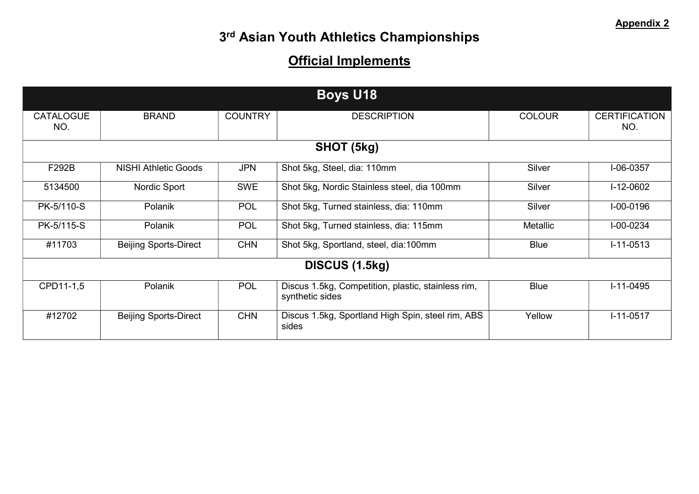| <b>Boys U18</b>         |                              |                |                                                                       |                 |                             |  |
|-------------------------|------------------------------|----------------|-----------------------------------------------------------------------|-----------------|-----------------------------|--|
|                         |                              |                |                                                                       |                 |                             |  |
| <b>CATALOGUE</b><br>NO. | <b>BRAND</b>                 | <b>COUNTRY</b> | <b>DESCRIPTION</b>                                                    | <b>COLOUR</b>   | <b>CERTIFICATION</b><br>NO. |  |
| SHOT (5kg)              |                              |                |                                                                       |                 |                             |  |
| F292B                   | <b>NISHI Athletic Goods</b>  | <b>JPN</b>     | Shot 5kg, Steel, dia: 110mm                                           | Silver          | $I-06-0357$                 |  |
| 5134500                 | Nordic Sport                 | <b>SWE</b>     | Shot 5kg, Nordic Stainless steel, dia 100mm                           | Silver          | $I-12-0602$                 |  |
| PK-5/110-S              | Polanik                      | <b>POL</b>     | Shot 5kg, Turned stainless, dia: 110mm                                | Silver          | $I - 00 - 0196$             |  |
| PK-5/115-S              | Polanik                      | <b>POL</b>     | Shot 5kg, Turned stainless, dia: 115mm                                | <b>Metallic</b> | $I - 00 - 0234$             |  |
| #11703                  | <b>Beijing Sports-Direct</b> | <b>CHN</b>     | Shot 5kg, Sportland, steel, dia:100mm                                 | <b>Blue</b>     | $I-11-0513$                 |  |
| DISCUS (1.5kg)          |                              |                |                                                                       |                 |                             |  |
| CPD11-1,5               | <b>Polanik</b>               | <b>POL</b>     | Discus 1.5kg, Competition, plastic, stainless rim,<br>synthetic sides | <b>Blue</b>     | $I-11-0495$                 |  |
| #12702                  | <b>Beijing Sports-Direct</b> | <b>CHN</b>     | Discus 1.5kg, Sportland High Spin, steel rim, ABS<br>sides            | Yellow          | $I-11-0517$                 |  |